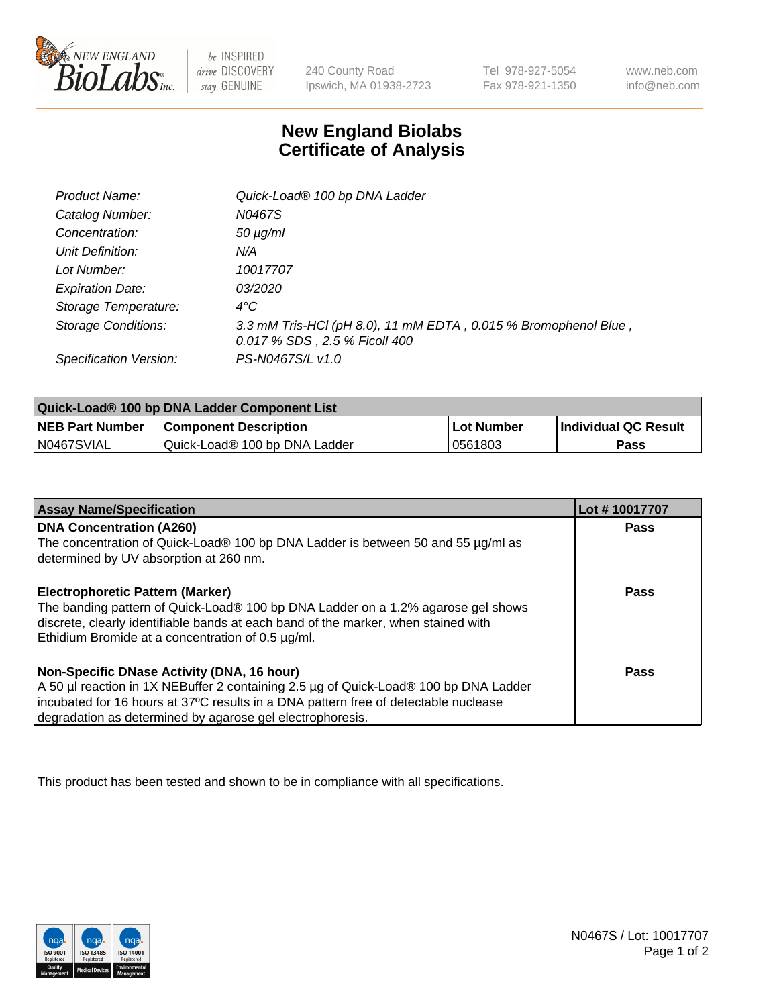

 $be$  INSPIRED drive DISCOVERY stay GENUINE

240 County Road Ipswich, MA 01938-2723 Tel 978-927-5054 Fax 978-921-1350 www.neb.com info@neb.com

## **New England Biolabs Certificate of Analysis**

| Product Name:              | Quick-Load® 100 bp DNA Ladder                                                                    |
|----------------------------|--------------------------------------------------------------------------------------------------|
| Catalog Number:            | N0467S                                                                                           |
| Concentration:             | <i>50 µg/ml</i>                                                                                  |
| Unit Definition:           | N/A                                                                                              |
| Lot Number:                | 10017707                                                                                         |
| <b>Expiration Date:</b>    | <i>03/2020</i>                                                                                   |
| Storage Temperature:       | $4^{\circ}$ C                                                                                    |
| <b>Storage Conditions:</b> | 3.3 mM Tris-HCl (pH 8.0), 11 mM EDTA, 0.015 % Bromophenol Blue,<br>0.017 % SDS, 2.5 % Ficoll 400 |
| Specification Version:     | PS-N0467S/L v1.0                                                                                 |

| Quick-Load® 100 bp DNA Ladder Component List |                               |             |                             |  |
|----------------------------------------------|-------------------------------|-------------|-----------------------------|--|
| <b>NEB Part Number</b>                       | <b>Component Description</b>  | ⊥Lot Number | <b>Individual QC Result</b> |  |
| N0467SVIAL                                   | Quick-Load® 100 bp DNA Ladder | 0561803     | Pass                        |  |

| <b>Assay Name/Specification</b>                                                                                                                                                                                                                                                        | Lot #10017707 |
|----------------------------------------------------------------------------------------------------------------------------------------------------------------------------------------------------------------------------------------------------------------------------------------|---------------|
| <b>DNA Concentration (A260)</b><br>The concentration of Quick-Load® 100 bp DNA Ladder is between 50 and 55 µg/ml as<br>determined by UV absorption at 260 nm.                                                                                                                          | <b>Pass</b>   |
| <b>Electrophoretic Pattern (Marker)</b><br>The banding pattern of Quick-Load® 100 bp DNA Ladder on a 1.2% agarose gel shows<br>discrete, clearly identifiable bands at each band of the marker, when stained with<br>Ethidium Bromide at a concentration of 0.5 µg/ml.                 | Pass          |
| Non-Specific DNase Activity (DNA, 16 hour)<br>A 50 µl reaction in 1X NEBuffer 2 containing 2.5 µg of Quick-Load® 100 bp DNA Ladder<br>incubated for 16 hours at 37°C results in a DNA pattern free of detectable nuclease<br>degradation as determined by agarose gel electrophoresis. | Pass          |

This product has been tested and shown to be in compliance with all specifications.